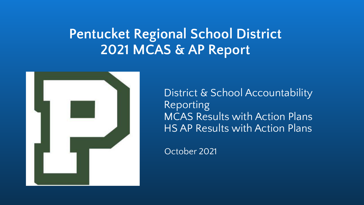# **Pentucket Regional School District 2021 MCAS & AP Report**



District & School Accountability Reporting MCAS Results with Action Plans HS AP Results with Action Plans

October 2021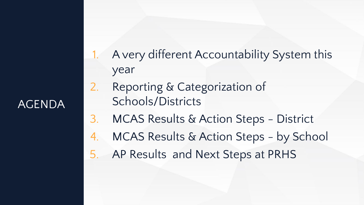## AGENDA

- 1. A very different Accountability System this year
- 2. Reporting & Categorization of Schools/Districts
- 3. MCAS Results & Action Steps District
- 4. MCAS Results & Action Steps by School
- 5. AP Results and Next Steps at PRHS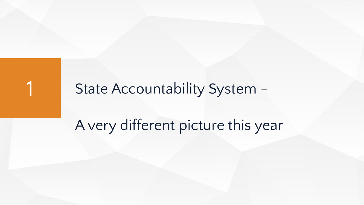# State Accountability System -

# A very different picture this year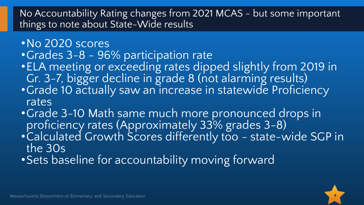#### No Accountability Rating changes from 2021 MCAS - but some important things to note about State-Wide results

- •No 2020 scores
- •Grades 3-8 96% participation rate
- •ELA meeting or exceeding rates dipped slightly from 2019 in Gr. 3-7, bigger decline in grade 8 (not alarming results)
- •Grade 10 actually saw an increase in statewide Proficiency rates
- •Grade 3-10 Math same much more pronounced drops in proficiency rates (Approximately 33% grades 3-8)
- •Calculated Growth Scores differently too state-wide SGP in the 30s
- •Sets baseline for accountability moving forward

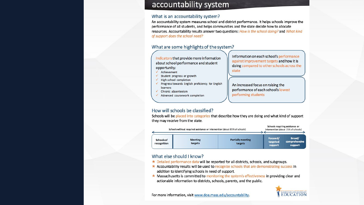#### accountability system

#### What is an accountability system?

An accountability system measures school and district performance. It helps schools improve the performance of all students, and helps communities and the state decide how to allocate resources. Accountability results answer two questions: How is the school doing? and What kind of support does the school need?

#### What are some highlights of the system?

Indicators that provide more information about school performance and student opportunity:

- Achievement
- Student progress or growth
- High school completion
- ✔ Progress towards English proficiency for English learners
- Chronic absenteeism √
- Advanced coursework completion

Information on each school's performance against improvement targets and how it is doing compared to other schools across the state

An increased focus on raising the performance of each school's lowest performing students

#### How will schools be classified?

Schools will be placed into categories that describe how they are doing and what kind of support they may receive from the state.



#### What else should I know?

- $\star$  Detailed performance data will be reported for all districts, schools, and subgroups.
- \* Accountability results will be used to recognize schools that are demonstrating success in addition to identifying schools in need of support.
- \* Massachusetts is committed to monitoring the system's effectiveness in providing clear and actionable information to districts, schools, parents, and the public.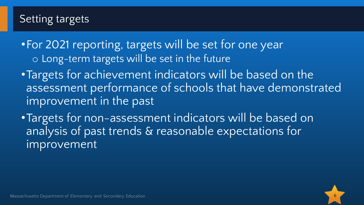#### Setting targets

•For 2021 reporting, targets will be set for one year o Long-term targets will be set in the future

- •Targets for achievement indicators will be based on the assessment performance of schools that have demonstrated improvement in the past
- •Targets for non-assessment indicators will be based on analysis of past trends & reasonable expectations for improvement

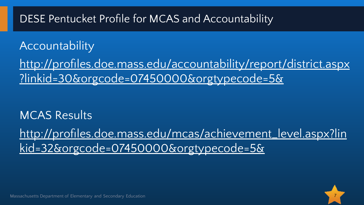## DESE Pentucket Profile for MCAS and Accountability

# **Accountability**

[http://profiles.doe.mass.edu/accountability/report/district.aspx](http://profiles.doe.mass.edu/accountability/report/district.aspx?linkid=30&orgcode=07450000&orgtypecode=5&) [?linkid=30&orgcode=07450000&orgtypecode=5&](http://profiles.doe.mass.edu/accountability/report/district.aspx?linkid=30&orgcode=07450000&orgtypecode=5&)

# MCAS Results [http://profiles.doe.mass.edu/mcas/achievement\\_level.aspx?lin](http://profiles.doe.mass.edu/mcas/achievement_level.aspx?linkid=32&orgcode=07450000&orgtypecode=5&) [kid=32&orgcode=07450000&orgtypecode=5&](http://profiles.doe.mass.edu/mcas/achievement_level.aspx?linkid=32&orgcode=07450000&orgtypecode=5&)



Massachusetts Department of Elementary and Secondary Education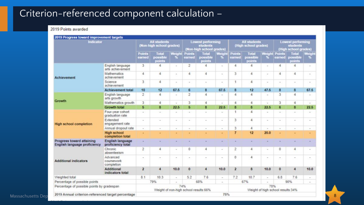#### Criterion-referenced component calculation –

#### 2019 Points awarded

| Indicator                                                        |                                        |                         | <b>All students</b><br>(Non-high school grades) |              |                 | <b>Lowest performing</b><br>students<br>(Non-high school grades) |                          |                 | <b>All students</b><br>(High school grades) |                                   | students                                                                                                                                                                                                          |                             |                                   |  |
|------------------------------------------------------------------|----------------------------------------|-------------------------|-------------------------------------------------|--------------|-----------------|------------------------------------------------------------------|--------------------------|-----------------|---------------------------------------------|-----------------------------------|-------------------------------------------------------------------------------------------------------------------------------------------------------------------------------------------------------------------|-----------------------------|-----------------------------------|--|
|                                                                  |                                        | <b>Points</b><br>earned | Total<br>possible<br>points                     | Weight<br>×. | Points<br>arned | Total<br>possible<br>points                                      | Weigh<br>×               | Points<br>arned | Total<br>possible<br>points                 | Weight<br>56                      | <b>Points</b><br>earned                                                                                                                                                                                           | Total<br>possible<br>points | Weight<br>$\mathbf{v}_\mathrm{c}$ |  |
|                                                                  | English language<br>arts achievement   | 3                       | 4                                               | $\alpha$     | 2               | $\overline{a}$                                                   | $\sim$                   | 4               | 4                                           | $\sim$                            | 4                                                                                                                                                                                                                 | 4                           | ×.                                |  |
| <b>Achievement</b>                                               | Mathematics<br>achievement             | 4                       | 4                                               | $\sim$       | 4               | 4                                                                | ×                        | 3               | 4                                           | $\sim$                            | 4                                                                                                                                                                                                                 | 4                           | $\sim$                            |  |
|                                                                  | Science<br>achievement                 | 3                       | 4                                               | $\sim$       | $\sim$          | $\sim$                                                           | $\sim$                   |                 | 4                                           | $\sim$                            | $\sim$                                                                                                                                                                                                            | $\sim$                      | $\sim$                            |  |
|                                                                  | <b>Achievement total</b>               | 10                      | 12                                              | 67.5         | 6               | 8                                                                | 67.5                     | 8               | 12                                          | 47.5                              | 8                                                                                                                                                                                                                 | 8                           | 67.5                              |  |
|                                                                  | English language<br>arts growth        | $\mathfrak{p}$          | 4                                               | $\sim$       | $\overline{2}$  | $\overline{4}$                                                   | $\overline{\phantom{a}}$ | 4               | 4                                           | $\overline{\phantom{a}}$          | 3                                                                                                                                                                                                                 | 4                           | $\sim$                            |  |
| Growth                                                           | Mathematics growth                     | 3                       | 4                                               | ÷            | 3               | 4                                                                | ٠                        | 4               | 4                                           | $\overline{\phantom{a}}$          | <b>Lowest performing</b><br>(High school grades)<br>3<br>4<br>6<br>8<br>u.<br>÷<br>$\sim$<br>$\sim$<br>$\alpha$<br>$\sim$<br>0<br>4<br>$\sim$<br>$\sim$<br>$\bf{0}$<br>$\overline{4}$<br>7.6<br>6.8<br>90%<br>78% |                             | u,                                |  |
|                                                                  | <b>Growth total</b>                    | 5                       | 8                                               | 22.5         | 5               | $\bf{8}$                                                         | 22.5                     | 8               | 8                                           | 22.5                              |                                                                                                                                                                                                                   | 22.5                        |                                   |  |
|                                                                  | Four-year cohort<br>graduation rate    | u,                      | ٠                                               | $\sim$       | ٠               | ä,                                                               | $\overline{\phantom{a}}$ | 1               | 4                                           |                                   |                                                                                                                                                                                                                   |                             | $\sim$                            |  |
| <b>High school completion</b>                                    | Extended<br>engagement rate            | ×                       | $\overline{a}$                                  | $\sim$       | $\sim$          | ×                                                                | $\sim$                   | 3               | 4                                           | $\sim$                            |                                                                                                                                                                                                                   |                             | $\sim$                            |  |
|                                                                  | Annual dropout rate                    | $\alpha$                | $\overline{\phantom{a}}$                        | $\alpha$     | $\sim$          | $\overline{a}$                                                   | $\sim$                   | 3               | 4                                           | $\sim$                            |                                                                                                                                                                                                                   |                             | $\alpha$                          |  |
|                                                                  | <b>High school</b><br>completion total |                         |                                                 |              |                 |                                                                  |                          | 7               | 12                                          | 20.0                              |                                                                                                                                                                                                                   |                             |                                   |  |
| Progress toward attaining<br><b>English language proficiency</b> | English language<br>proficiency total  |                         |                                                 |              |                 |                                                                  |                          |                 |                                             |                                   |                                                                                                                                                                                                                   |                             |                                   |  |
|                                                                  | Chronic<br>absenteeism                 | 2                       | 4                                               | $\sim$       | 0               | 4                                                                | $\sim$                   | 2               | 4                                           | $\sim$                            |                                                                                                                                                                                                                   |                             | ÷                                 |  |
| <b>Additional indicators</b>                                     | Advanced<br>coursework<br>completion   | $\sim$                  | $\sim$                                          | $\sim$       | $\sim$          | ۰                                                                | $\sim$                   | $\circ$         | 4                                           | $\sim$                            |                                                                                                                                                                                                                   |                             | $\overline{\phantom{a}}$          |  |
|                                                                  | Additional<br>indicators total         | $\overline{2}$          | $\overline{4}$                                  | 10.0         | $\bf{0}$        | $\overline{4}$                                                   | 10.0                     | $\overline{2}$  | 8                                           | 10.0                              |                                                                                                                                                                                                                   |                             | 10.0                              |  |
| Weighted total                                                   |                                        | 8.1                     | 10.3                                            | $\sim$       | 5.2             | 7.6                                                              | $\omega_{\rm c}$         | 7.2             | 10.7                                        | $\sim$                            |                                                                                                                                                                                                                   |                             | $\sim$                            |  |
| Percentage of possible points                                    |                                        |                         | 79%                                             | $\sim$       |                 | 68%                                                              | $\sim$                   |                 | 67%                                         | $\sim$                            |                                                                                                                                                                                                                   |                             | $\sim$                            |  |
| Percentage of possible points by gradespan                       |                                        |                         | Weight of non-high school results:66%           | 74%          |                 |                                                                  |                          |                 |                                             | Weight of high school results:34% |                                                                                                                                                                                                                   |                             |                                   |  |
| 2019 Annual criterion-referenced target percentage               |                                        |                         |                                                 |              |                 |                                                                  | 75%                      |                 |                                             |                                   |                                                                                                                                                                                                                   |                             |                                   |  |

Massachusetts Department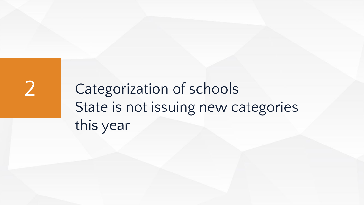2 Categorization of schools State is not issuing new categories this year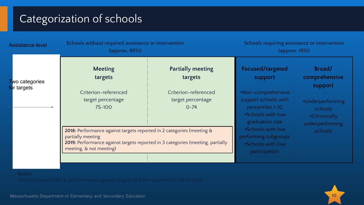## Categorization of schools

| <b>Assistance level</b> | Schools without required assistance or intervention<br>(approx. 85%)                                                                                                                                    | Schools requiring assistance or intervention<br>$\left($ approx. $15\% \right)$ |                                                                                                        |                                                                |
|-------------------------|---------------------------------------------------------------------------------------------------------------------------------------------------------------------------------------------------------|---------------------------------------------------------------------------------|--------------------------------------------------------------------------------------------------------|----------------------------------------------------------------|
| <b>T</b> wo categories  | <b>Meeting</b><br>targets                                                                                                                                                                               | <b>Partially meeting</b><br>targets                                             | Focused/targeted<br>support                                                                            | Broad/<br>comprehensive<br>support                             |
| for targets             | Criterion-referenced<br>target percentage<br>75-100                                                                                                                                                     | Criterion-referenced<br>target percentage<br>$0 - 74$                           | •Non-comprehensive<br>support schools with<br>percentiles 1-10<br>.Schools with low<br>graduation rate | ·Underperforming<br>schools<br>•Chronically<br>underperforming |
|                         | 2018: Performance against targets reported in 2 categories (meeting &<br>partially meeting<br>2019: Performance against targets reported in 3 categories (meeting, partially<br>meeting, & not meeting) |                                                                                 | .Schools with low<br>performing subgroups<br>.Schools with low<br>participation                        | schools                                                        |

#### **Notes:**

•School percentiles & performance against targets will be reported for all schools

Massachusetts Department of Elementary and Secondary Education

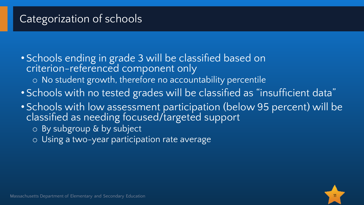#### Categorization of schools

• Schools ending in grade 3 will be classified based on criterion-referenced component only

- o No student growth, therefore no accountability percentile
- Schools with no tested grades will be classified as "insufficient data"
- Schools with low assessment participation (below 95 percent) will be classified as needing focused/targeted support
	- o By subgroup & by subject
	- o Using a two-year participation rate average

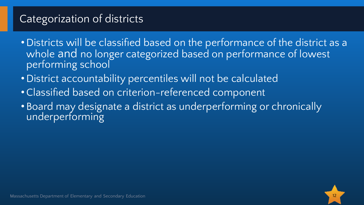## Categorization of districts

- Districts will be classified based on the performance of the district as a whole and no longer categorized based on performance of lowest performing school
- District accountability percentiles will not be calculated
- •Classified based on criterion-referenced component
- Board may designate a district as underperforming or chronically underperforming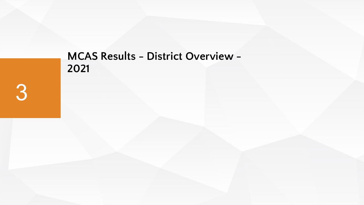#### **MCAS Results - District Overview -**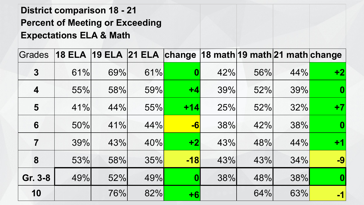#### **District comparison 18 - 21 Percent of Meeting or Exceeding Expectations ELA & Math**

| Grades                  | <b>18 ELA</b> | <b>19 ELA</b> |     |                  | 21 ELA change 18 math 19 math 21 math change |     |     |      |
|-------------------------|---------------|---------------|-----|------------------|----------------------------------------------|-----|-----|------|
| $\boldsymbol{3}$        | 61%           | 69%           | 61% | $\boldsymbol{0}$ | 42%                                          | 56% | 44% | $+2$ |
| $\overline{\mathbf{4}}$ | 55%           | 58%           | 59% | $+4$             | 39%                                          | 52% | 39% | 0    |
| 5                       | 41%           | 44%           | 55% | $+14$            | 25%                                          | 52% | 32% | $+7$ |
| 6                       | 50%           | 41%           | 44% | $-6$             | 38%                                          | 42% | 38% | 0    |
| $\overline{\mathbf{7}}$ | 39%           | 43%           | 40% | $+2$             | 43%                                          | 48% | 44% | $+1$ |
| 8                       | 53%           | 58%           | 35% | $-18$            | 43%                                          | 43% | 34% | -9   |
| Gr. 3-8                 | 49%           | 52%           | 49% | 0                | 38%                                          | 48% | 38% | 0    |
| 10                      |               | 76%           | 82% | $+6$             |                                              | 64% | 63% | $-1$ |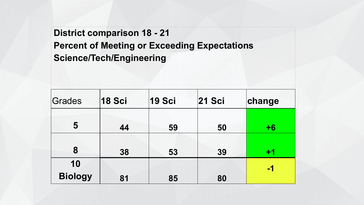#### **District comparison 18 - 21 Percent of Meeting or Exceeding Expectations Science/Tech/Engineering**

| Grades               | <b>18 Sci</b> | <b>19 Sci</b> | <b>21 Sci</b> | change |
|----------------------|---------------|---------------|---------------|--------|
| 5                    | 44            | 59            | 50            | $+6$   |
| 8                    | 38            | 53            | 39            | $+1$   |
| 10<br><b>Biology</b> | 81            | 85            | 80            | -1     |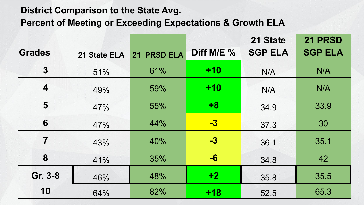#### **District Comparison to the State Avg.**

**Percent of Meeting or Exceeding Expectations & Growth ELA** 

|                  |              |             |            | 21 State       | 21 PRSD        |
|------------------|--------------|-------------|------------|----------------|----------------|
| Grades           | 21 State ELA | 21 PRSD ELA | Diff M/E % | <b>SGP ELA</b> | <b>SGP ELA</b> |
| $\overline{3}$   | 51%          | 61%         | $+10$      | N/A            | N/A            |
| $\boldsymbol{4}$ | 49%          | 59%         | $+10$      | N/A            | N/A            |
| 5                | 47%          | 55%         | $+8$       | 34.9           | 33.9           |
| 6                | 47%          | 44%         | <u>-3</u>  | 37.3           | 30             |
| $\overline{7}$   | 43%          | 40%         | $-3$       | 36.1           | 35.1           |
| 8                | 41%          | 35%         | -6         | 34.8           | 42             |
| Gr. 3-8          | 46%          | 48%         | $+2$       | 35.8           | 35.5           |
| 10               | 64%          | 82%         | $+18$      | 52.5           | 65.3           |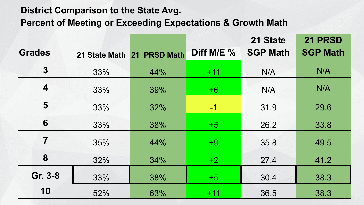#### **District Comparison to the State Avg.**

**Percent of Meeting or Exceeding Expectations & Growth Math**

|                         |     |                            |            | 21 State        | 21 PRSD         |
|-------------------------|-----|----------------------------|------------|-----------------|-----------------|
| Grades                  |     | 21 State Math 21 PRSD Math | Diff M/E % | <b>SGP Math</b> | <b>SGP Math</b> |
| $\boldsymbol{3}$        | 33% | 44%                        | $+11$      | N/A             | N/A             |
| $\overline{\mathbf{4}}$ | 33% | 39%                        | $+6$       | N/A             | N/A             |
| 5                       | 33% | 32%                        | $-1$       | 31.9            | 29.6            |
| 6                       | 33% | 38%                        | $+5$       | 26.2            | 33.8            |
| $\overline{7}$          | 35% | 44%                        | $+9$       | 35.8            | 49.5            |
| 8                       | 32% | 34%                        | $+2$       | 27.4            | 41.2            |
| Gr. 3-8                 | 33% | 38%                        | $+5$       | 30.4            | 38.3            |
| 10                      | 52% | 63%                        | $+11$      | 36.5            | 38.3            |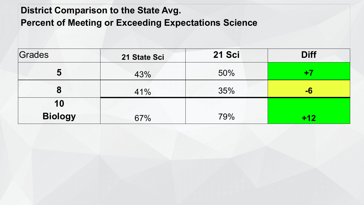#### **District Comparison to the State Avg.**

**Percent of Meeting or Exceeding Expectations Science**

| Grades               | 21 State Sci | 21 Sci | <b>Diff</b> |
|----------------------|--------------|--------|-------------|
| 5                    | 43%          | 50%    | +7          |
| 8                    | 41%          | 35%    | -6          |
| 10<br><b>Biology</b> | 67%          | 79%    | $+12$       |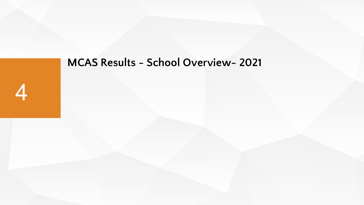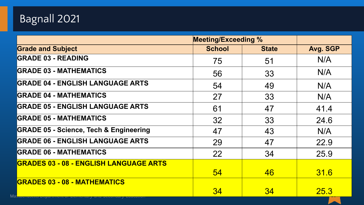# Bagnall 2021

|                                                                 | <b>Meeting/Exceeding %</b> |              |          |
|-----------------------------------------------------------------|----------------------------|--------------|----------|
| <b>Grade and Subject</b>                                        | <b>School</b>              | <b>State</b> | Avg. SGP |
| <b>GRADE 03 - READING</b>                                       | 75                         | 51           | N/A      |
| <b>GRADE 03 - MATHEMATICS</b>                                   | 56                         | 33           | N/A      |
| <b>GRADE 04 - ENGLISH LANGUAGE ARTS</b>                         | 54                         | 49           | N/A      |
| <b>GRADE 04 - MATHEMATICS</b>                                   | 27                         | 33           | N/A      |
| <b>GRADE 05 - ENGLISH LANGUAGE ARTS</b>                         | 61                         | 47           | 41.4     |
| <b>GRADE 05 - MATHEMATICS</b>                                   | 32                         | 33           | 24.6     |
| <b>GRADE 05 - Science, Tech &amp; Engineering</b>               | 47                         | 43           | N/A      |
| <b>GRADE 06 - ENGLISH LANGUAGE ARTS</b>                         | 29                         | 47           | 22.9     |
| <b>GRADE 06 - MATHEMATICS</b>                                   | 22                         | 34           | 25.9     |
| <b>GRADES 03 - 08 - ENGLISH LANGUAGE ARTS</b>                   |                            |              |          |
|                                                                 | 54                         | 46           | 31.6     |
| <b>GRADES 03 - 08 - MATHEMATICS</b><br>Massuchusctts Depurtment | 34                         | 34           | 25.3     |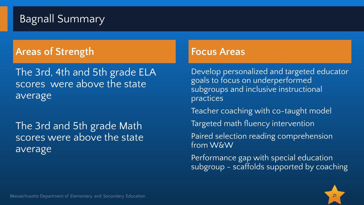# Bagnall Summary

#### **Areas of Strength Focus Areas**

The 3rd, 4th and 5th grade ELA scores were above the state average

The 3rd and 5th grade Math scores were above the state average

Develop personalized and targeted educator goals to focus on underperformed subgroups and inclusive instructional practices

Teacher coaching with co-taught model

Targeted math fluency intervention

Paired selection reading comprehension from W&W

Performance gap with special education subgroup - scaffolds supported by coaching

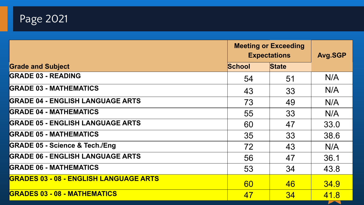

|                                               | <b>Meeting or Exceeding</b><br><b>Expectations</b> |              | <b>Avg.SGP</b> |
|-----------------------------------------------|----------------------------------------------------|--------------|----------------|
| <b>Grade and Subject</b>                      | <b>School</b>                                      | <b>State</b> |                |
| <b>GRADE 03 - READING</b>                     | 54                                                 | 51           | N/A            |
| <b>GRADE 03 - MATHEMATICS</b>                 | 43                                                 | 33           | N/A            |
| <b>GRADE 04 - ENGLISH LANGUAGE ARTS</b>       | 73                                                 | 49           | N/A            |
| <b>GRADE 04 - MATHEMATICS</b>                 | 55                                                 | 33           | N/A            |
| <b>GRADE 05 - ENGLISH LANGUAGE ARTS</b>       | 60                                                 | 47           | 33.0           |
| <b>GRADE 05 - MATHEMATICS</b>                 | 35                                                 | 33           | 38.6           |
| <b>GRADE 05 - Science &amp; Tech./Eng</b>     | 72                                                 | 43           | N/A            |
| <b>GRADE 06 - ENGLISH LANGUAGE ARTS</b>       | 56                                                 | 47           | 36.1           |
| <b>GRADE 06 - MATHEMATICS</b>                 | 53                                                 | 34           | 43.8           |
| <b>GRADES 03 - 08 - ENGLISH LANGUAGE ARTS</b> | 60                                                 | 46           | 34.9           |
| <b>GRADES 03 - 08 - MATHEMATICS</b>           | 47                                                 | 34           | 41.8           |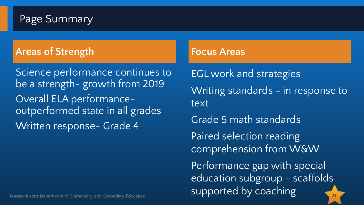#### Page Summary

#### **Areas of Strength Focus Areas**

Science performance continues to be a strength- growth from 2019 Overall ELA performanceoutperformed state in all grades Written response- Grade 4

#### Massachusetts Department of Elementary and Secondary Education 2002 2008 2008 2008 2008 2009 2008 2009 23

EGL work and strategies Writing standards - in response to text Grade 5 math standards Paired selection reading comprehension from W&W Performance gap with special education subgroup - scaffolds

supported by coaching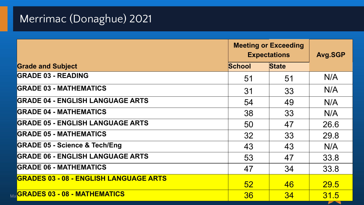# Merrimac (Donaghue) 2021

|                                               | <b>Meeting or Exceeding</b><br><b>Expectations</b> |              | Avg.SGP |  |
|-----------------------------------------------|----------------------------------------------------|--------------|---------|--|
| <b>Grade and Subject</b>                      | <b>School</b>                                      | <b>State</b> |         |  |
| <b>GRADE 03 - READING</b>                     | 51                                                 | 51           | N/A     |  |
| <b>GRADE 03 - MATHEMATICS</b>                 | 31                                                 | 33           | N/A     |  |
| <b>GRADE 04 - ENGLISH LANGUAGE ARTS</b>       | 54                                                 | 49           | N/A     |  |
| <b>GRADE 04 - MATHEMATICS</b>                 | 38                                                 | 33           | N/A     |  |
| <b>GRADE 05 - ENGLISH LANGUAGE ARTS</b>       | 50                                                 | 47           | 26.6    |  |
| <b>GRADE 05 - MATHEMATICS</b>                 | 32                                                 | 33           | 29.8    |  |
| <b>GRADE 05 - Science &amp; Tech/Eng</b>      | 43                                                 | 43           | N/A     |  |
| <b>GRADE 06 - ENGLISH LANGUAGE ARTS</b>       | 53                                                 | 47           | 33.8    |  |
| <b>GRADE 06 - MATHEMATICS</b>                 | 47                                                 | 34           | 33.8    |  |
| <b>GRADES 03 - 08 - ENGLISH LANGUAGE ARTS</b> | 52 <sub>2</sub>                                    | 46           | 29.5    |  |
| Ma <mark>GRADES 03 - 08 - MATHEMATICS</mark>  | 36                                                 | 34           | 31.5    |  |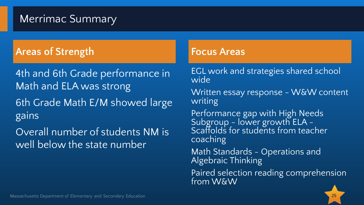#### Merrimac Summary

#### **Areas of Strength Focus Areas**

4th and 6th Grade performance in Math and ELA was strong

6th Grade Math E/M showed large gains

Overall number of students NM is well below the state number

EGL work and strategies shared school wide

Written essay response - W&W content writing

Performance gap with High Needs Subgroup - lower growth ELA - Scaffolds for students from teacher coaching

Math Standards - Operations and Algebraic Thinking

Paired selection reading comprehension from W&W

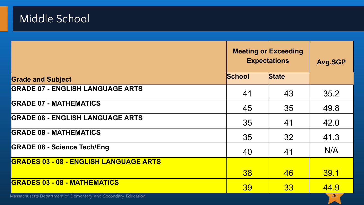## Middle School

|                                                                | <b>Meeting or Exceeding</b><br><b>Expectations</b> | <b>Avg.SGP</b> |      |
|----------------------------------------------------------------|----------------------------------------------------|----------------|------|
| <b>Grade and Subject</b>                                       | <b>School</b><br><b>State</b>                      |                |      |
| <b>GRADE 07 - ENGLISH LANGUAGE ARTS</b>                        | 41                                                 | 43             | 35.2 |
| <b>GRADE 07 - MATHEMATICS</b>                                  | 45                                                 | 35             | 49.8 |
| <b>GRADE 08 - ENGLISH LANGUAGE ARTS</b>                        | 35                                                 | 41             | 42.0 |
| <b>GRADE 08 - MATHEMATICS</b>                                  | 35                                                 | 32             | 41.3 |
| <b>GRADE 08 - Science Tech/Eng</b>                             | 40                                                 | 41             | N/A  |
| <b>GRADES 03 - 08 - ENGLISH LANGUAGE ARTS</b>                  |                                                    |                |      |
|                                                                | 38                                                 | 46             | 39.1 |
| <b>GRADES 03 - 08 - MATHEMATICS</b>                            | 39                                                 | 33             | 44.9 |
| Massachusetts Department of Elementary and Secondary Education |                                                    |                | 26   |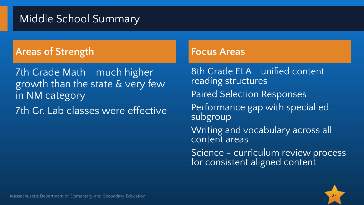#### Middle School Summary

#### **Areas of Strength Focus Areas**

7th Grade Math - much higher growth than the state & very few in NM category 7th Gr. Lab classes were effective

8th Grade ELA - unified content reading structures Paired Selection Responses Performance gap with special ed. subgroup Writing and vocabulary across all content areas Science - curriculum review process for consistent aligned content

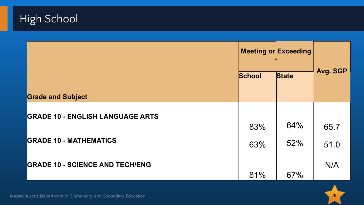

|                                         | <b>Meeting or Exceeding</b><br>$\star$ |              |          |
|-----------------------------------------|----------------------------------------|--------------|----------|
|                                         | <b>School</b>                          | <b>State</b> | Avg. SGP |
| <b>Grade and Subject</b>                |                                        |              |          |
| <b>GRADE 10 - ENGLISH LANGUAGE ARTS</b> | 83%                                    | 64%          | 65.7     |
| <b>GRADE 10 - MATHEMATICS</b>           | 63%                                    | 52%          | 51.0     |
| <b>GRADE 10 - SCIENCE AND TECH/ENG</b>  | 81%                                    | 67%          | N/A      |



Massachusetts Department of Elementary and Secondary Education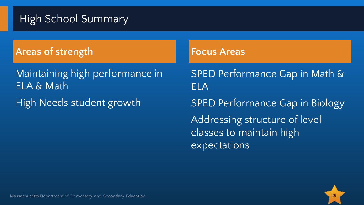# High School Summary

**Areas of strength Focus Areas** 

Maintaining high performance in ELA & Math

High Needs student growth

SPED Performance Gap in Math & ELA SPED Performance Gap in Biology Addressing structure of level classes to maintain high expectations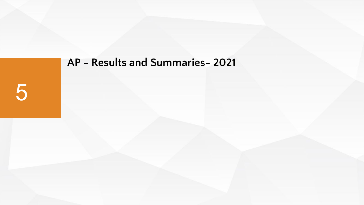# **AP - Results and Summaries- 2021** 5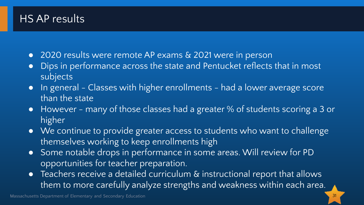#### HS AP results

- 2020 results were remote AP exams & 2021 were in person
- Dips in performance across the state and Pentucket reflects that in most subjects
- In general Classes with higher enrollments had a lower average score than the state
- However many of those classes had a greater % of students scoring a 3 or higher
- We continue to provide greater access to students who want to challenge themselves working to keep enrollments high
- Some notable drops in performance in some areas. Will review for PD opportunities for teacher preparation.
- **•** Teachers receive a detailed curriculum & instructional report that allows them to more carefully analyze strengths and weakness within each area.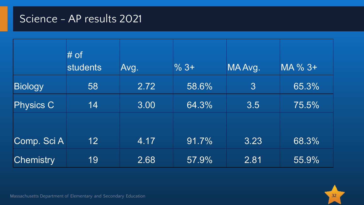#### Science - AP results 2021

|                  | # of<br><b>students</b> | Avg. | $%3+$ | MA Avg.         | MA % 3+ |
|------------------|-------------------------|------|-------|-----------------|---------|
| <b>Biology</b>   | 58                      | 2.72 | 58.6% | $3\overline{3}$ | 65.3%   |
| <b>Physics C</b> | 14                      | 3.00 | 64.3% | 3.5             | 75.5%   |
|                  |                         |      |       |                 |         |
| Comp. Sci A      | 12 <sup>2</sup>         | 4.17 | 91.7% | 3.23            | 68.3%   |
| <b>Chemistry</b> | 19                      | 2.68 | 57.9% | 2.81            | 55.9%   |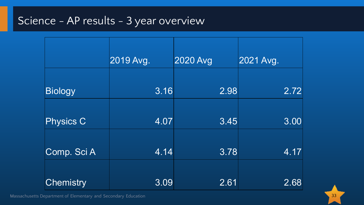### Science - AP results - 3 year overview

|                  | 2019 Avg. | 2020 Avg | 2021 Avg. |
|------------------|-----------|----------|-----------|
|                  |           |          |           |
| <b>Biology</b>   | 3.16      | 2.98     | 2.72      |
|                  |           |          |           |
| <b>Physics C</b> | 4.07      | 3.45     | 3.00      |
|                  |           |          |           |
| Comp. Sci A      | 4.14      | 3.78     | 4.17      |
|                  |           |          |           |
| Chemistry        | 3.09      | 2.61     | 2.68      |

Massachusetts Department of Elementary and Secondary Education 33 Secondary 2008 34 Secondary 1988 34 Secondary Education 33 Secondary 2008 34 Secondary 2008 35 Secondary 2008 35 Secondary 2008 35 Secondary 34 Secondary 19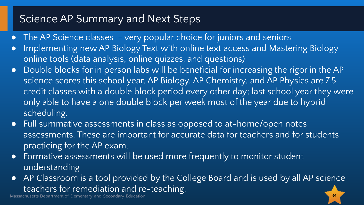#### Science AP Summary and Next Steps

- The AP Science classes very popular choice for juniors and seniors
- Implementing new AP Biology Text with online text access and Mastering Biology online tools (data analysis, online quizzes, and questions)
- Double blocks for in person labs will be beneficial for increasing the rigor in the AP science scores this school year. AP Biology, AP Chemistry, and AP Physics are 7.5 credit classes with a double block period every other day; last school year they were only able to have a one double block per week most of the year due to hybrid scheduling.
- Full summative assessments in class as opposed to at-home/open notes assessments. These are important for accurate data for teachers and for students practicing for the AP exam.
- Formative assessments will be used more frequently to monitor student understanding
- AP Classroom is a tool provided by the College Board and is used by all AP science teachers for remediation and re-teaching.

Massachusetts Department of Elementary and Secondary Education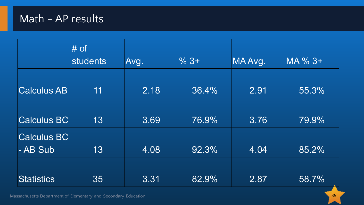#### Math - AP results

|                                | $#$ of<br>students | Avg. | $\%$ 3+ | MA Avg. | MA % 3+ |
|--------------------------------|--------------------|------|---------|---------|---------|
| <b>Calculus AB</b>             | 11                 | 2.18 | 36.4%   | 2.91    | 55.3%   |
| <b>Calculus BC</b>             | 13                 | 3.69 | 76.9%   | 3.76    | 79.9%   |
| <b>Calculus BC</b><br>- AB Sub | 13                 | 4.08 | 92.3%   | 4.04    | 85.2%   |
| <b>Statistics</b>              | 35                 | 3.31 | 82.9%   | 2.87    | 58.7%   |

Massachusetts Department of Elementary and Secondary Education 35 November 2014 1999 1999 1999 1999 1999 1999 1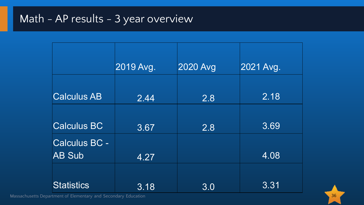# Math - AP results - 3 year overview

|                    | 2019 Avg. | 2020 Avg | 2021 Avg. |
|--------------------|-----------|----------|-----------|
|                    |           |          |           |
| <b>Calculus AB</b> | 2.44      | 2.8      | 2.18      |
|                    |           |          |           |
| <b>Calculus BC</b> | 3.67      | 2.8      | 3.69      |
| Calculus BC -      |           |          |           |
| <b>AB Sub</b>      | 4.27      |          | 4.08      |
|                    |           |          |           |
| <b>Statistics</b>  | 3.18      | 3.0      | 3.31      |

Massachusetts Department of Elementary and Secondary Education 36 November 2014 1999 1999 1999 1999 1999 1999 1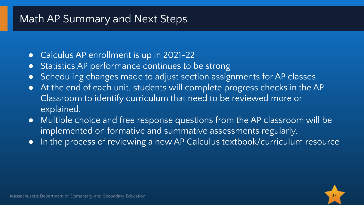#### Math AP Summary and Next Steps

- Calculus AP enrollment is up in 2021-22
- Statistics AP performance continues to be strong
- Scheduling changes made to adjust section assignments for AP classes
- At the end of each unit, students will complete progress checks in the AP Classroom to identify curriculum that need to be reviewed more or explained.
- Multiple choice and free response questions from the AP classroom will be implemented on formative and summative assessments regularly.
- In the process of reviewing a new AP Calculus textbook/curriculum resource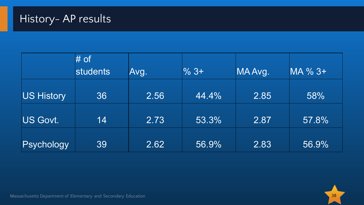|            | # of            |      |         |         |         |
|------------|-----------------|------|---------|---------|---------|
|            | <b>students</b> | Avg. | $\%$ 3+ | MA Avg. | MA % 3+ |
|            |                 |      |         |         |         |
| US History | 36              | 2.56 | 44.4%   | 2.85    | 58%     |
|            |                 |      |         |         |         |
| US Govt.   | 14              | 2.73 | 53.3%   | 2.87    | 57.8%   |
|            |                 |      |         |         |         |
| Psychology | 39              | 2.62 | 56.9%   | 2.83    | 56.9%   |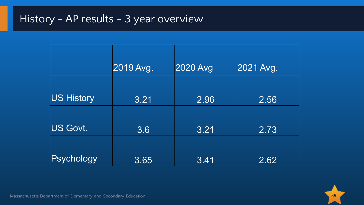## History - AP results - 3 year overview

|                   | 2019 Avg. | <b>2020 Avg</b> | 2021 Avg. |
|-------------------|-----------|-----------------|-----------|
| <b>US History</b> | 3.21      | 2.96            | 2.56      |
| <b>US Govt.</b>   | 3.6       | 3.21            | 2.73      |
| Psychology        | 3.65      | 3.41            | 2.62      |

Massachusetts Department of Elementary and Secondary Education 39 November 2014 1999 39 November 2014 1999 39 No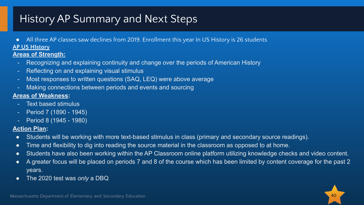## History AP Summary and Next Steps

● All three AP classes saw declines from 2019. Enrollment this year In US History is 26 students

#### **AP US HIstory**

#### **Areas of Strength:**

- Recognizing and explaining continuity and change over the periods of American History
- Reflecting on and explaining visual stimulus
- Most responses to written questions (SAQ, LEQ) were above average
- Making connections between periods and events and sourcing

#### **Areas of Weakness:**

- Text based stimulus
- Period 7 (1890 1945)
- Period 8 (1945 1980)

#### **Action Plan:**

- Students will be working with more text-based stimulus in class (primary and secondary source readings).
- Time and flexibility to dig into reading the source material in the classroom as opposed to at home.
- Students have also been working within the AP Classroom online platform utilizing knowledge checks and video content.
- A greater focus will be placed on periods 7 and 8 of the course which has been limited by content coverage for the past 2 years.
- The 2020 test was *only* a DBQ

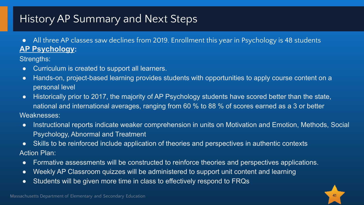## History AP Summary and Next Steps

● All three AP classes saw declines from 2019. Enrollment this year in Psychology is 48 students **AP Psychology:**

Strengths:

- Curriculum is created to support all learners.
- Hands-on, project-based learning provides students with opportunities to apply course content on a personal level
- Historically prior to 2017, the majority of AP Psychology students have scored better than the state, national and international averages, ranging from 60 % to 88 % of scores earned as a 3 or better Weaknesses:
- Instructional reports indicate weaker comprehension in units on Motivation and Emotion, Methods, Social Psychology, Abnormal and Treatment
- Skills to be reinforced include application of theories and perspectives in authentic contexts Action Plan:
- Formative assessments will be constructed to reinforce theories and perspectives applications.
- Weekly AP Classroom quizzes will be administered to support unit content and learning
- Students will be given more time in class to effectively respond to FRQs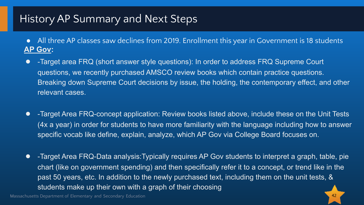#### History AP Summary and Next Steps

- All three AP classes saw declines from 2019. Enrollment this year in Government is 18 students **AP Gov:**
- -Target area FRQ (short answer style questions): In order to address FRQ Supreme Court questions, we recently purchased AMSCO review books which contain practice questions. Breaking down Supreme Court decisions by issue, the holding, the contemporary effect, and other relevant cases.
- Farget Area FRQ-concept application: Review books listed above, include these on the Unit Tests (4x a year) in order for students to have more familiarity with the language including how to answer specific vocab like define, explain, analyze, which AP Gov via College Board focuses on.
- Farget Area FRQ-Data analysis: Typically requires AP Gov students to interpret a graph, table, pie chart (like on government spending) and then specifically refer it to a concept, or trend like in the past 50 years, etc. In addition to the newly purchased text, including them on the unit tests, & students make up their own with a graph of their choosing

Massachusetts Department of Elementary and Secondary Education 42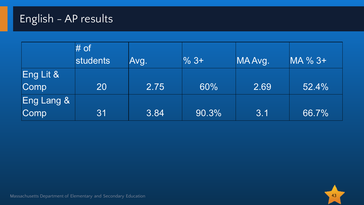# English - AP results

|                       | $#$ of   |      |                  |         |         |
|-----------------------|----------|------|------------------|---------|---------|
|                       | students | Avg. | $\frac{9}{6}$ 3+ | MA Avg. | MA % 3+ |
| Eng Lit &             |          |      |                  |         |         |
| Comp                  | 20       | 2.75 | 60%              | 2.69    | 52.4%   |
| <b>Eng Lang &amp;</b> |          |      |                  |         |         |
| Comp                  | 31       | 3.84 | 90.3%            | 3.1     | 66.7%   |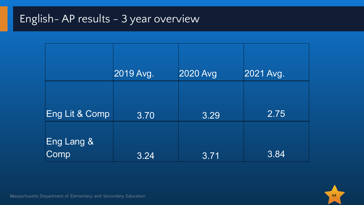# English- AP results - 3 year overview

|                    | 2019 Avg. | 2020 Avg | 2021 Avg. |
|--------------------|-----------|----------|-----------|
| Eng Lit & Comp     | 3.70      | 3.29     | 2.75      |
| Eng Lang &<br>Comp | 3.24      | 3.71     | 3.84      |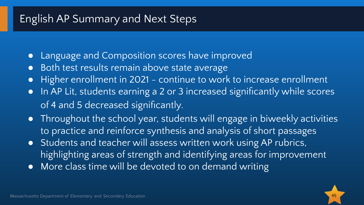#### English AP Summary and Next Steps

- Language and Composition scores have improved
- Both test results remain above state average
- Higher enrollment in 2021 continue to work to increase enrollment
- In AP Lit, students earning a 2 or 3 increased significantly while scores of 4 and 5 decreased significantly.
- Throughout the school year, students will engage in biweekly activities to practice and reinforce synthesis and analysis of short passages
- Students and teacher will assess written work using AP rubrics, highlighting areas of strength and identifying areas for improvement
- More class time will be devoted to on demand writing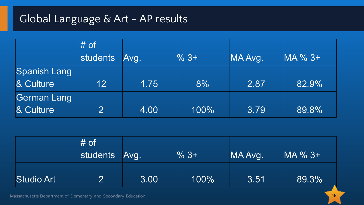# Global Language & Art - AP results

|                     | $#$ of          |      |                  |         |         |
|---------------------|-----------------|------|------------------|---------|---------|
|                     | students        | Avg. | $\frac{9}{6}$ 3+ | MA Avg. | MA % 3+ |
| <b>Spanish Lang</b> |                 |      |                  |         |         |
| & Culture           | 12 <sup>°</sup> | 1.75 | 8%               | 2.87    | 82.9%   |
| <b>German Lang</b>  |                 |      |                  |         |         |
| & Culture           | 2               | 4.00 | 100%             | 3.79    | 89.8%   |

|                   | $#$ of<br>students Avg. |      | $%3+$ | MA Avg. | MA % 3+ |
|-------------------|-------------------------|------|-------|---------|---------|
| <b>Studio Art</b> |                         | 3.00 | 100%  | 3.51    | 89.3%   |

Massachusetts Department of Elementary and Secondary Education 46 Australian 1999 and 2008 and 2008 and 2008 and 2008 and 2008 and 2008 and 2008 and 2008 and 2008 and 2008 and 2008 and 2008 and 2008 and 2008 and 2008 and 2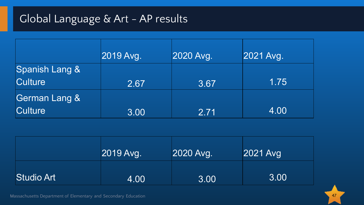# Global Language & Art - AP results

|                           | 2019 Avg. | 2020 Avg. | 2021 Avg. |
|---------------------------|-----------|-----------|-----------|
| <b>Spanish Lang &amp;</b> |           |           |           |
| <b>Culture</b>            | 2.67      | 3.67      | 1.75      |
| German Lang &             |           |           |           |
| <b>Culture</b>            | 3.00      | 2.71      | 4.00      |

|                   | 2019 Avg. | 2020 Avg. | 2021 Avg |
|-------------------|-----------|-----------|----------|
| <b>Studio Art</b> | 4.00      | 3.00      | 3.00     |



Massachusetts Department of Elementary and Secondary Education 47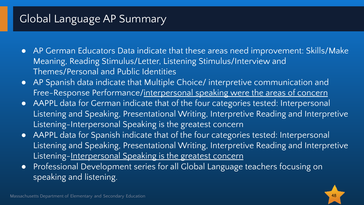## Global Language AP Summary

- AP German Educators Data indicate that these areas need improvement: Skills/Make Meaning, Reading Stimulus/Letter, Listening Stimulus/Interview and Themes/Personal and Public Identities
- AP Spanish data indicate that Multiple Choice/ interpretive communication and Free-Response Performance/interpersonal speaking were the areas of concern
- AAPPL data for German indicate that of the four categories tested: Interpersonal Listening and Speaking, Presentational Writing, Interpretive Reading and Interpretive Listening-Interpersonal Speaking is the greatest concern
- AAPPL data for Spanish indicate that of the four categories tested: Interpersonal Listening and Speaking, Presentational Writing, Interpretive Reading and Interpretive Listening-Interpersonal Speaking is the greatest concern
- Professional Development series for all Global Language teachers focusing on speaking and listening.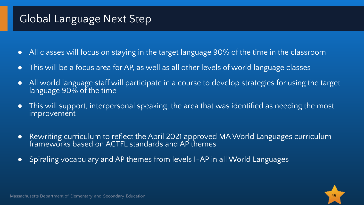## Global Language Next Step

- All classes will focus on staying in the target language 90% of the time in the classroom
- This will be a focus area for AP, as well as all other levels of world language classes
- All world language staff will participate in a course to develop strategies for using the target language 90% of the time
- This will support, interpersonal speaking, the area that was identified as needing the most improvement
- Rewriting curriculum to reflect the April 2021 approved MA World Languages curriculum frameworks based on ACTFL standards and AP themes
- Spiraling vocabulary and AP themes from levels I-AP in all World Languages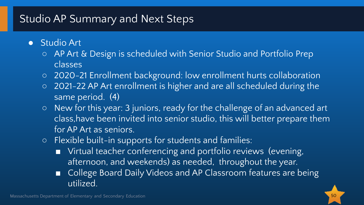## Studio AP Summary and Next Steps

- Studio Art
	- AP Art & Design is scheduled with Senior Studio and Portfolio Prep classes
	- 2020-21 Enrollment background: low enrollment hurts collaboration
	- 2021-22 AP Art enrollment is higher and are all scheduled during the same period. (4)
	- New for this year: 3 juniors, ready for the challenge of an advanced art class,have been invited into senior studio, this will better prepare them for AP Art as seniors.
	- Flexible built-in supports for students and families:
		- Virtual teacher conferencing and portfolio reviews (evening, afternoon, and weekends) as needed, throughout the year.
		- College Board Daily Videos and AP Classroom features are being utilized.

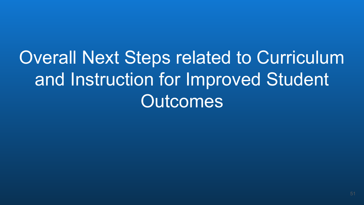Overall Next Steps related to Curriculum and Instruction for Improved Student Outcomes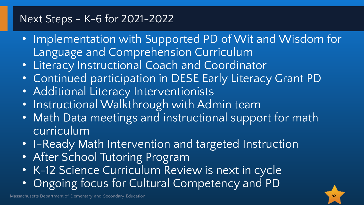#### Next Steps - K-6 for 2021-2022

- Implementation with Supported PD of Wit and Wisdom for Language and Comprehension Curriculum
- Literacy Instructional Coach and Coordinator
- Continued participation in DESE Early Literacy Grant PD
- Additional Literacy Interventionists
- Instructional Walkthrough with Admin team
- Math Data meetings and instructional support for math curriculum
- I-Ready Math Intervention and targeted Instruction
- After School Tutoring Program
- K-12 Science Curriculum Review is next in cycle
- Ongoing focus for Cultural Competency and PD

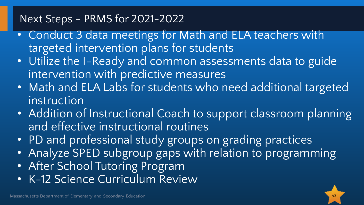#### Next Steps - PRMS for 2021-2022

- Conduct 3 data meetings for Math and ELA teachers with targeted intervention plans for students
- Utilize the I-Ready and common assessments data to guide intervention with predictive measures
- Math and ELA Labs for students who need additional targeted instruction
- Addition of Instructional Coach to support classroom planning and effective instructional routines
- PD and professional study groups on grading practices
- Analyze SPED subgroup gaps with relation to programming
- After School Tutoring Program
- K-12 Science Curriculum Review